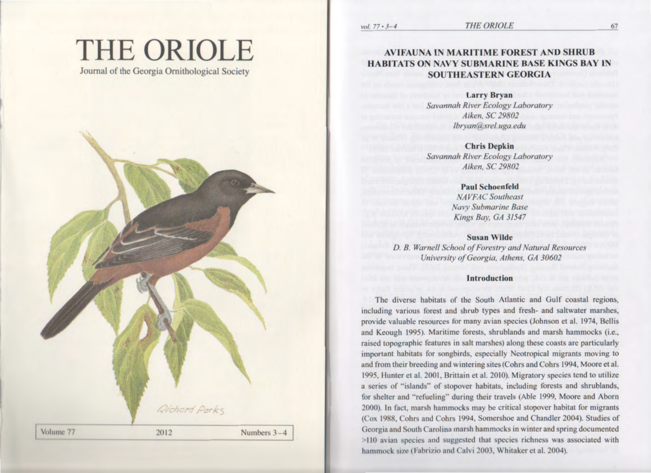# **THE ORIOLE**

Journal of the Georgia Ornithological Society



**THE ORIOLE** 

**Larry Bryan** Savannah River Ecology Laboratory Aiken, SC 29802 lbryan@srel.uga.edu

**Chris Depkin** Savannah River Ecology Laboratory Aiken, SC 29802

> **Paul Schoenfeld NAVFAC** Southeast **Navy Submarine Base** Kings Bay, GA 31547

**Susan Wilde** D. B. Warnell School of Forestry and Natural Resources University of Georgia, Athens, GA 30602

#### **Introduction**

The diverse habitats of the South Atlantic and Gulf coastal regions, including various forest and shrub types and fresh- and saltwater marshes, provide valuable resources for many avian species (Johnson et al. 1974, Bellis and Keough 1995). Maritime forests, shrublands and marsh hammocks (i.e., raised topographic features in salt marshes) along these coasts are particularly important habitats for songbirds, especially Neotropical migrants moving to and from their breeding and wintering sites (Cohrs and Cohrs 1994, Moore et al. 1995, Hunter et al. 2001, Brittain et al. 2010). Migratory species tend to utilize a series of "islands" of stopover habitats, including forests and shrublands, for shelter and "refueling" during their travels (Able 1999, Moore and Aborn 2000). In fact, marsh hammocks may be critical stopover habitat for migrants (Cox 1988, Cohrs and Cohrs 1994, Somershoe and Chandler 2004). Studies of Georgia and South Carolina marsh hammocks in winter and spring documented >110 avian species and suggested that species richness was associated with hammock size (Fabrizio and Calvi 2003, Whitaker et al. 2004).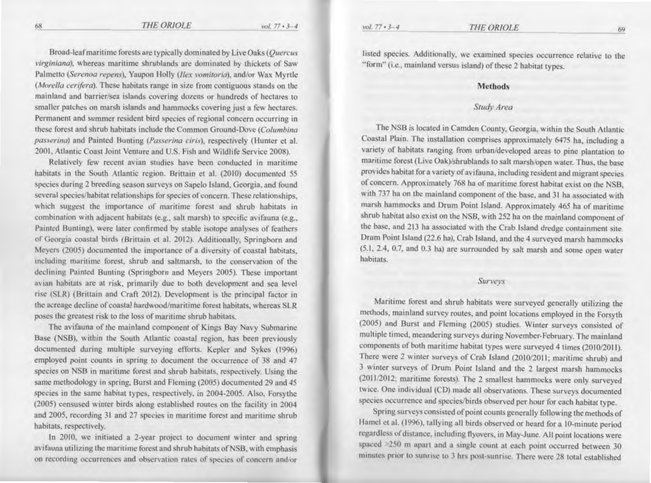vol.  $77 \cdot 3 - 4$ 

Broad-leaf maritime forests are typically dominated by Live Oaks (Quercus virginiana), whereas maritime shrublands are dominated by thickets of Saw Palmetto (Serenoa repens), Yaupon Holly (Ilex vomitoria), and/or Wax Myrtle (Morella cerifera). These habitats range in size from contiguous stands on the mainland and barrier/sea islands covering dozens or hundreds of hectares to smaller patches on marsh islands and hammocks covering just a few hectares. Permanent and summer resident bird species of regional concern occurring in these forest and shrub habitats include the Common Ground-Dove (Columbina *passerina*) and Painted Bunting (*Passerina ciris*), respectively (Hunter et al.

2001, Atlantic Coast Joint Venture and U.S. Fish and Wildlife Service 2008).

Relatively few recent avian studies have been conducted in maritime habitats in the South Atlantic region. Brittain et al. (2010) documented 55 species during 2 breeding season surveys on Sapelo Island, Georgia, and found several species/habitat relationships for species of concern. These relationships, which suggest the importance of maritime forest and shrub habitats in combination with adjacent habitats (e.g., salt marsh) to specific avifauna (e.g., Painted Bunting), were later confirmed by stable isotope analyses of feathers of Georgia coastal birds (Brittain et al. 2012). Additionally, Springborn and Meyers (2005) documented the importance of a diversity of coastal habitats, including maritime forest, shrub and saltmarsh, to the conservation of the declining Painted Bunting (Springborn and Meyers 2005). These important avian habitats are at risk, primarily due to both development and sea level rise (SLR) (Brittain and Craft 2012). Development is the principal factor in the acreage decline of coastal hardwood/maritime forest habitats, whereas SLR poses the greatest risk to the loss of maritime shrub habitats.

The avifauna of the mainland component of Kings Bay Navy Submarine Base (NSB), within the South Atlantic coastal region, has been previously documented during multiple surveying efforts. Kepler and Sykes (1996) employed point counts in spring to document the occurrence of 38 and 47 species on NSB in maritime forest and shrub habitats, respectively. Using the same methodology in spring, Burst and Fleming (2005) documented 29 and 45 species in the same habitat types, respectively, in 2004-2005. Also, Forsythe (2005) censused winter birds along established routes on the facility in 2004 and 2005, recording 31 and 27 species in maritime forest and maritime shrub habitats, respectively.

In 2010, we initiated a 2-year project to document winter and spring avifauna utilizing the maritime forest and shrub habitats of NSB, with emphasis on recording occurrences and observation rates of species of concern and/or listed species. Additionally, we examined species occurrence relative to the "form" (i.e., mainland versus island) of these 2 habitat types.

#### **Methods**

#### Study Area

The NSB is located in Camden County, Georgia, within the South Atlantic Coastal Plain. The installation comprises approximately 6475 ha, including a variety of habitats ranging from urban/developed areas to pine plantation to maritime forest (Live Oak)/shrublands to salt marsh/open water. Thus, the base provides habitat for a variety of avifauna, including resident and migrant species of concern. Approximately 768 ha of maritime forest habitat exist on the NSB, with 737 ha on the mainland component of the base, and 31 ha associated with marsh hammocks and Drum Point Island. Approximately 465 ha of maritime shrub habitat also exist on the NSB, with 252 ha on the mainland component of the base, and 213 ha associated with the Crab Island dredge containment site. Drum Point Island (22.6 ha), Crab Island, and the 4 surveyed marsh hammocks (5.1, 2.4, 0.7, and 0.3 ha) are surrounded by salt marsh and some open water habitats.

#### Surveys

Maritime forest and shrub habitats were surveyed generally utilizing the methods, mainland survey routes, and point locations employed in the Forsyth (2005) and Burst and Fleming (2005) studies. Winter surveys consisted of multiple timed, meandering surveys during November-February. The mainland components of both maritime habitat types were surveyed 4 times (2010/2011). There were 2 winter surveys of Crab Island (2010/2011; maritime shrub) and 3 winter surveys of Drum Point Island and the 2 largest marsh hammocks (2011/2012; maritime forests). The 2 smallest hammocks were only surveyed twice. One individual (CD) made all observations. These surveys documented species occurrence and species/birds observed per hour for each habitat type.

Spring surveys consisted of point counts generally following the methods of Hamel et al. (1996), tallying all birds observed or heard for a 10-minute period regardless of distance, including flyovers, in May-June. All point locations were spaced >250 m apart and a single count at each point occurred between 30 minutes prior to sunrise to 3 hrs post-sunrise. There were 28 total established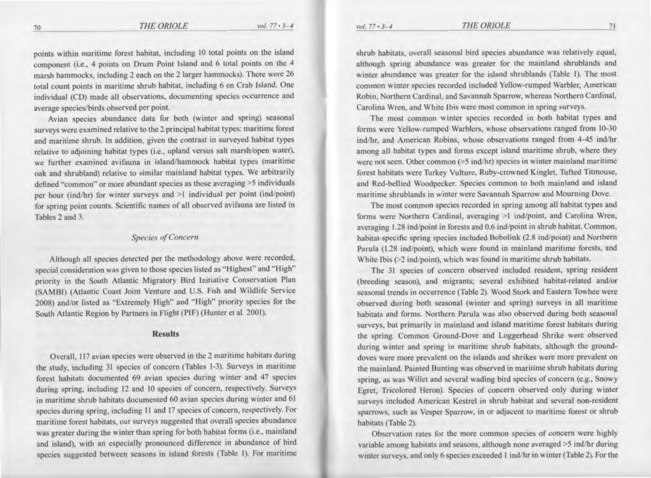points within maritime forest habitat, including 10 total points on the island component (i.e., 4 points on Drum Point Island and 6 total points on the 4 marsh hammocks, including 2 each on the 2 larger hammocks). There were 26 total count points in maritime shrub habitat, including 6 on Crab Island. One individual (CD) made all observations, documenting species occurrence and average species/birds observed per point.

Avian species abundance data for both (winter and spring) seasonal surveys were examined relative to the 2 principal habitat types: maritime forest and maritime shrub. In addition, given the contrast in surveyed habitat types relative to adjoining habitat types (i.e., upland versus salt marsh/open water), we further examined avifauna in island/hammock habitat types (maritime oak and shrubland) relative to similar mainland habitat types. We arbitrarily defined "common" or more abundant species as those averaging *>S* individuals per hour (ind/hr) for winter surveys and >1 individual per point (ind/point) for spring point counts. Scientific names of all observed avifauna are listed in Tables 2 and 3.

#### **Species of Concern**

Although all species detected per the methodology above were recorded, special consideration was given to those species listed as "Highest" and "High" priority in the South Atlantic Migratory Bird Initiative Conservation Plan (SAMBI) (Atlantic Coast Joint Venture and U.S. Fish and Wildlife Service 2008) and/or listed as "Extremely High" and "High" priority species for the South Atlantic Region by Partners in flight (PIF) (Hunter et al. 2001).

#### Results

Overall, 117 avian species were observed in the 2 maritime habitats during the study, including 31 species of concern (Tables 1-3). Surveys in maritime forest habitats documented 69 avian species during winter and 47 species during spring, including 12 and 10 species of concern, respectively. Surveys in maritime shrub habitats documented 60 avian species during winter and 61 species during spring, including II and 17 species of concern, respectively. For maritime forest habitats, our surveys suggested that overall species abundance was greater during the winter than spring for both habitat forms (i.e., mainland and island), with an especially pronounced difference in abundance of bird species suggested between seasons in island forests (Table 1). For maritime shrub habitats, overall seasonal bird species abundance was relatively equal, although spring abundance was greater for the mainland shrublands and winter abundance was greater for the island shrublands (Table 1). The most common winter species recorded included Yellow-rumped Warbler, American Robin, Northern Cardinal, and Savannah Sparrow, whereas Northern Cardinal, Carolina Wren, and White Ibis were most common in spring surveys.

The most common winter species recorded in both habitat types and forms were Yellow-rumped Warblers, whose observations ranged from 10-30 ind/hr, and American Robins, whose observations ranged from 4-45 ind/hr among all habitat types and forms except island maritime shrub, where they were not seen. Other common (>5 ind/hr) species in winter mainland maritime forest habitats were Turkey Vulture, Ruby-crowned Kinglet, Tufted Titmouse, and Red-bellied Woodpecker. Species common to both mainland and island maritime shrublands in winter were Savannah Sparrow and Mourning Dove.

The most common species recorded in spring among all habitat types and forms were Northern Cardinal, averaging >1 ind/point, and Carolina Wren, averaging 1.28 ind/point in forests and 0.6 ind/point in shrub habitat. Common, habitat-specific spring species included Bobolink (2.8 ind/point) and Northern Parula (1.28 ind/point), which were found in mainland maritime forests, and White Ibis  $(>2$  ind/point), which was found in maritime shrub habitats.

The 31 species of concern observed included resident, spring resident (breeding season). and migrants; several exhibited habitat-related and/or seasonal trends in occurrence (Table 2). Wood Stork and Eastern Towhee were observed during both seasonal (winter and spring) surveys in all maritime habitats and forms. Northern Parula was also observed during both seasonal surveys, but primarily in mainland and island maritime forest habitats during the spring. Common Ground-Dove and Loggerhead Shrike were observed during winter and spring in maritime shrub habitats, although the grounddoves were more prevalent on the islands and shrikes were more prevalent on the mainland. Painted Bunting was observed in maritime shrub habitats during spring, as was Willet and several wading bird species of concern (e.g., Snowy Egret, Tricolored Heron). Species of concern observed only during winier surveys included American Kestrel in shrub habitat and several non-resident sparrows, such as Vesper Sparrow, in or adjacent to maritime forest or shrub habitats (Table 2).

Observation rates for the more common species of concern were highly variable among habitats and seasons, although none averaged >5 ind/hr during winter surveys, and only 6 species exceeded 1 ind/hr in winter (Table 2). For the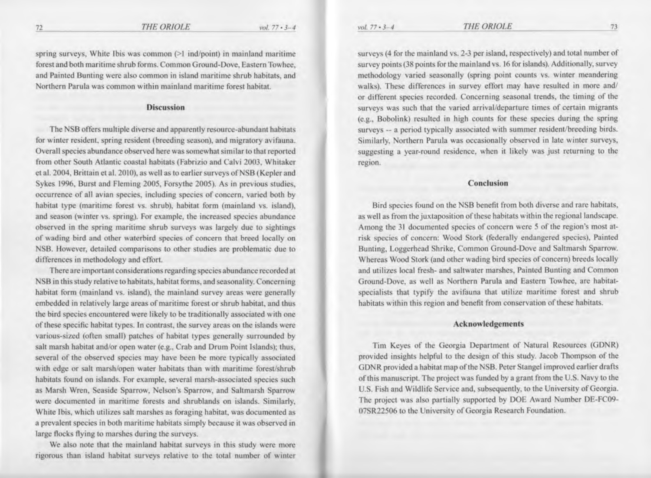spring surveys, White Ibis was common (>1 ind/point) in mainland maritime forest and both maritime shrub forms. Common Ground-Dove, Eastern Towhee, and Painted Bunting were also common in island maritime shrub habitats, and Northern Parula was common within mainland maritime forest habitat.

#### Discussion

The NSB offers multiple diverse and apparently resource-abundant habitats for winter resident, spring resident (breeding season), and migratory avifauna. Overall species abundance observed here was somewhat similar to that reported from other South Atlantic coastal habitats (Fabrizio and Calvi 2003, Whitaker et al. 2004, Brittain et al. 2010), as well as to earlier surveys of NSB (Kepler and Sykes 1996, Burst and Fleming 2005, Forsythe 2005). As in previous studies, occurrence of all avian species, including species of concern, varied both by habitat type (maritime forest vs. shrub), habitat form (mainland vs. island). and season (winter vs. spring). For example, the increased species abundance observed in the spring maritime shrub surveys was largely due to sightings of wading bird and other waterbird species of concern that breed locally on NSB. However, detailed comparisons to other studies are problematic due to differences in methodology and effort.

There are important considerations regarding species abundance recorded at NSB in this study relative to habitats, habitat forms, and seasonality. Concerning habitat form (mainland vs. island), the mainland survey areas were generally embedded in relatively large areas of maritime forest or shrub habitat, and thus the bird species encountered were likely to be traditionally associated with one of these specific habitat types. In contrast, the survey areas on the islands were various-sized (often small) patches of habitat types generally surrounded by salt marsh habitat and/or open water (e.g., Crab and Drum Point Islands); thus, several of the observed species may have been be more typically associated with edge or salt marsh/open water habitats than with maritime forest/shrub habitats found on islands. For example, several marsh-associated species such as Marsh Wren, Seaside Sparrow, Nelson's Sparrow, and Saltmarsh Sparrow were documented in maritime forests and shrublands on islands. Similarly, White Ibis, which utilizes salt marshes as foraging habitat, was documented as a prevalent species in both maritime habitats simply because it was observed in large flocks flying to marshes during the surveys.

We also note that the mainland habitat surveys in this study were more rigorous than island habitat surveys relative to the total number of winter

surveys (4 for the mainland vs. 2-3 per island, respectively) and total number of survey points (38 points for the mainland vs. 16 for islands). Additionally, survey methodology varied seasonally (spring point counts vs. winter meandering walks). These differences in survey effort may have resulted in more and/ or different species recorded. Concerning seasonal trends, the timing of the surveys was such that the varied arrival/departure times of certain migrants (e.g., Bobolink) resulted in high counts for these species during the spring surveys -- a period typically associated with summer resident/breeding birds. Similarly, Northern Parula was occasionally observed in late winter surveys, suggesting a year-round residence, when it likely was just returning to the region.

#### Conclusion

Bird species found on the NSB benefit from both diverse and rare habitats, as well as from the juxtaposition of these habitats within the regional landscape. Among the 31 documented species of concern were *5* of the region's most atrisk species of concern: Wood Stork (federally endangered species), Painted Bunting, Loggerhead Shrike, Common Ground-Dove and Saltmarsh Sparrow. Whereas Wood Stork (and other wading bird species of concern) breeds locally and utilizes local fresh- and saltwater marshes, Painted Bunting and Common Ground-Dove, as well as Northern Paruta and Eastern Towhee, are habitatspecialists that typify the avifauna that utilize maritime forest and shrub habitats within this region and benefit from conservation of these habitats.

#### Acknowledgements

Tim Keyes of the Georgia Department of Natural Resources (GDNR) provided insights helpful to the design of this study. Jacob Thompson of the GDNR provided a habitat map of the NSB. Peter Stangel improved earlier drafts of this manuscript. The project was funded by a grant from the U.S. Navy to the U.S. Fish and Wildlife Service and, subsequently, to the University of Georgia. The project was also partially supported by DOE Award Number DE-FC09- 07SR22506 to the University of Georgia Research Foundation.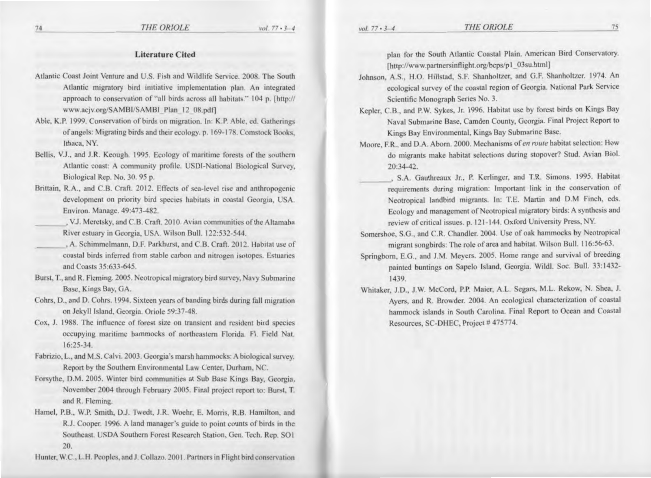- Atlantic Coast Joint Venture and U.S. Fish and Wildlife Service, 2008. The South Atlantic migratory bird initiative implementation plan. An integrated approach to conservation of "all birds across all habitats." 104 p. [http:// www.acjv.org/SAMBI/SAMBI Plan 12 08.pdf]
- Able, K.P. 1999. Conservation of birds on migration. In: K.P. Able, ed. Gatherings of angels: Migrating birds and their ecology. p. 169-178. Comstock Books, Ithaca, NY.
- Bellis, V.J., and J.R. Keough. 1995. Ecology of maritime forests of the southern Atlantic coast: A community profile. USDI-National Biological Survey, Biological Rep. No. 30, 95 p.
- Brittain, R.A., and C.B. Craft. 2012. Effects of sea-level rise and anthropogenic development on priority bird species habitats in coastal Georgia, USA. Environ. Manage. 49:473-482.
- , V.J. Meretsky, and C.B. Craft. 2010. Avian communities of the Altamaha River estuary in Georgia, USA. Wilson Bull. 122:532-544.
- , A. Schimmelmann, D.F. Parkhurst, and C.B. Craft. 2012. Habitat use of coastal birds inferred from stable carbon and nitrogen isotopes. Estuaries and Coasts 35:633-645.
- Burst, T., and R. Fleming. 2005. Neotropical migratory bird survey, Navy Submarine Base, Kings Bay, GA.
- Cohrs, D., and D. Cohrs. 1994. Sixteen years of banding birds during fall migration on Jekyll Island, Georgia. Oriole 59:37-48.
- Cox, J. 1988. The influence of forest size on transient and resident bird species occupying maritime hammocks of northeastern Florida. Fl. Field Nat.  $16:25-34.$
- Fabrizio, L., and M.S. Calvi. 2003. Georgia's marsh hammocks: A biological survey. Report by the Southern Environmental Law Center, Durham, NC.
- Forsythe, D.M. 2005. Winter bird communities at Sub Base Kings Bay, Georgia, November 2004 through February 2005. Final project report to: Burst, T. and R. Fleming.
- Hamel, P.B., W.P. Smith, D.J. Twedt, J.R. Woehr, E. Morris, R.B. Hamilton, and R.J. Cooper. 1996. A land manager's guide to point counts of birds in the Southeast. USDA Southern Forest Research Station, Gen. Tech. Rep. SO1 20.

Hunter, W.C., L.H. Peoples, and J. Collazo. 2001. Partners in Flight bird conservation

plan for the South Atlantic Coastal Plain. American Bird Conservatory. [http://www.partnersinflight.org/bcps/p1\_03su.html]

- Johnson, A.S., H.O. Hillstad, S.F. Shanholtzer, and G.F. Shanholtzer. 1974. An ecological survey of the coastal region of Georgia. National Park Service Scientific Monograph Series No. 3.
- Kepler, C.B., and P.W. Sykes, Jr. 1996. Habitat use by forest birds on Kings Bay Naval Submarine Base, Camden County, Georgia. Final Project Report to Kings Bay Environmental, Kings Bay Submarine Base.
- Moore, F.R., and D.A. Aborn. 2000. Mechanisms of en route habitat selection: How do migrants make habitat selections during stopover? Stud. Avian Biol. 20:34-42.
	- , S.A. Gauthreaux Jr., P. Kerlinger, and T.R. Simons. 1995. Habitat requirements during migration: Important link in the conservation of Neotropical landbird migrants. In: T.E. Martin and D.M Finch, eds. Ecology and management of Neotropical migratory birds: A synthesis and review of critical issues. p. 121-144. Oxford University Press, NY.
- Somershoe, S.G., and C.R. Chandler. 2004. Use of oak hammocks by Neotropical migrant songbirds: The role of area and habitat. Wilson Bull. 116:56-63.
- Springborn, E.G., and J.M. Meyers. 2005. Home range and survival of breeding painted buntings on Sapelo Island, Georgia. Wildl. Soc. Bull. 33:1432-1439.
- Whitaker, J.D., J.W. McCord, P.P. Maier, A.L. Segars, M.L. Rekow, N. Shea, J. Ayers, and R. Browder. 2004. An ecological characterization of coastal hammock islands in South Carolina. Final Report to Ocean and Coastal Resources, SC-DHEC, Project #475774.

74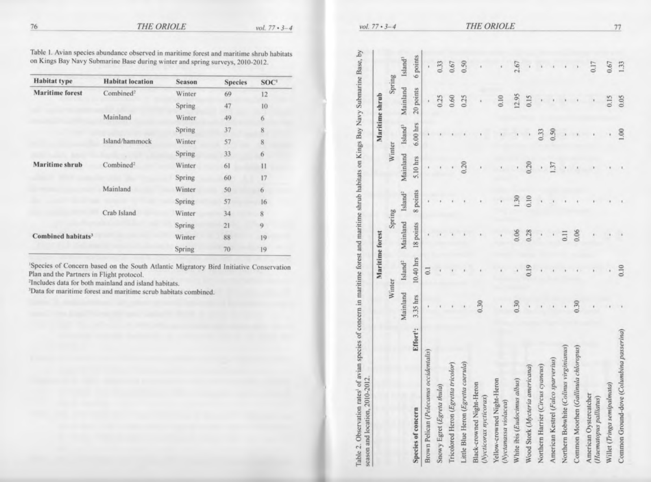vol.  $77 \cdot 3 - 4$ 

Table 1. Avian species abundance observed in maritime forest and maritime shrub habitats on Kings Bay Navy Submarine Base during winter and spring surveys, 2010-2012.

| <b>Habitat type</b>            | <b>Habitat</b> location | Season        | <b>Species</b> | SOC <sup>1</sup> |
|--------------------------------|-------------------------|---------------|----------------|------------------|
| <b>Maritime</b> forest         | Combined <sup>2</sup>   | Winter        | 69             | 12               |
|                                |                         | Spring        | 47             | 10               |
|                                | Mainland                | Winter        | 49             | 6                |
|                                |                         | Spring        | 37             | 8                |
|                                | Island/hammock          | Winter        | 57             | 8                |
|                                |                         | <b>Spring</b> | 33             | 6                |
| Maritime shrub                 | Combined <sup>2</sup>   | Winter        | 61             | 11               |
|                                |                         | Spring        | 60             | 17               |
|                                | Mainland                | Winter        | 50             | 6                |
|                                |                         | Spring        | 57             | 16               |
|                                | Crab Island             | Winter        | 34             | 8                |
|                                |                         | Spring        | 21             | 9                |
| Combined habitats <sup>3</sup> |                         | Winter        | 88             | 19               |
|                                |                         | Spring        | 70             | 19               |

'Species of Concern based on the South Atlantic Migratory Bird Initiative Conservation<br>Plan and the Partners in Flight protocol.

<sup>2</sup>Includes data for both mainland and island habitats.

<sup>3</sup>Data for maritime forest and maritime scrub habitats combined.

|                                                      |          |          | Maritime forest  |           |                |                              |            | Maritime shrub               |          |
|------------------------------------------------------|----------|----------|------------------|-----------|----------------|------------------------------|------------|------------------------------|----------|
|                                                      |          |          | Winter           | Spring    |                |                              | Winter     | Spring                       |          |
|                                                      |          | Mainland | $\rm Island^2$   | Mainland  | $\rm Island^2$ | Mainland Island <sup>3</sup> |            | Mainland Island <sup>3</sup> |          |
| Species of concern                                   | Effort': | 3.35 hrs | 10.40 hrs        | 18 points | 8 points       | 5.10 hrs                     | $6.00$ hrs | 20 points                    | 6 points |
| Brown Pelican (Pelecanus occidentalis)               |          |          | $\overline{0}$ . |           |                |                              |            |                              | ï        |
| Snowy Egret (Egreta thula)                           |          |          |                  |           |                |                              |            | 0.25                         | 0.33     |
| Tricolored Heron (Egretta tricolor)                  |          |          |                  |           |                |                              |            | 0.60                         | 0.67     |
| Little Blue Heron (Egretta caerula)                  |          |          |                  |           |                | 0.20                         |            | 0.25                         | 0.50     |
| Black-crowned Night-Heron<br>(Nycticorax nycticorax) |          | 0.30     |                  |           |                |                              |            |                              |          |
| Yellow-crowned Night-Heron<br>(Nyctanassa violacea)  |          |          |                  |           |                |                              |            | 0.10                         |          |
| White ibis (Eudocinus albus)                         |          | 0.30     |                  | 0.06      | 1.30           |                              |            | 12.95                        | 2.67     |
| Wood Stork (Mycteria americana)                      |          | ,        | 0.19             | 0.28      | 0.10           | 0.20                         |            | 0.15                         |          |
| Northern Harrier (Circus cyaneus)                    |          |          |                  |           |                | i                            | 0.33       |                              |          |
| American Kestrel (Falco sparverius)                  |          |          |                  |           |                | 1.37                         | 0.50       |                              |          |
| Northern Bobwhite (Colinus virginianus)              |          |          |                  | 0.11      |                |                              |            |                              |          |
| Common Moorhen (Gallimula chloropus)                 |          | 0.30     |                  | 0.06      |                |                              |            |                              |          |
| American Oystercatcher<br>(Haematopus palliatus)     |          |          |                  |           |                |                              |            |                              | 0.17     |
| Willet (Tringa semipalmata)                          |          |          |                  |           |                |                              |            | 0.15                         | 0.67     |
| Common Ground-dove (Columbina passerina)             |          |          | 0.10             |           |                |                              | 1.00       | 0.05                         | 1.33     |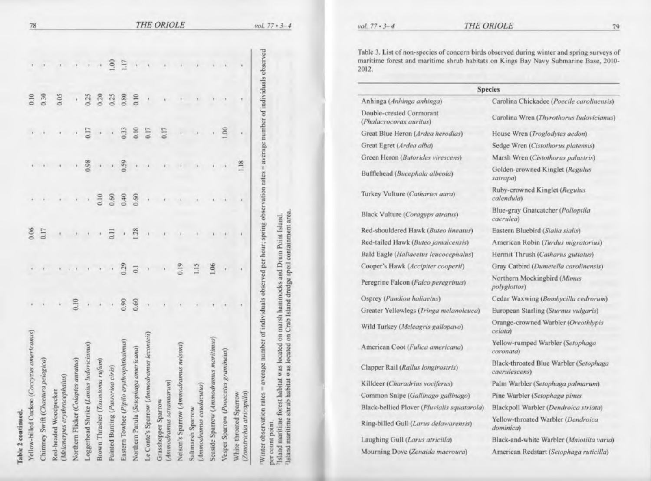| Table 2 continued.                                                                                                                            |                      |                |                  |                  |                          |                      |      |     |            |
|-----------------------------------------------------------------------------------------------------------------------------------------------|----------------------|----------------|------------------|------------------|--------------------------|----------------------|------|-----|------------|
| Yellow-billed Cuckoo (Coccyzus americanus)                                                                                                    |                      |                |                  |                  |                          |                      | 0.10 |     | 78         |
| Chimney Swift (Chaetura pelagica)                                                                                                             |                      |                | $0.06$<br>$0.17$ |                  |                          |                      | 0.30 |     |            |
| (Melanerpes erythrocephalus)<br>Red-headed Woodpecker                                                                                         |                      |                |                  |                  |                          |                      | 0.05 |     |            |
| Northern Flicker (Colaptes auratus)                                                                                                           | 0.10                 |                |                  |                  |                          |                      | ł    |     |            |
| Loggerhead Shrike (Lanius ludovicianus)                                                                                                       | $\ddot{\phantom{0}}$ |                |                  | ï                | 0.98                     | 0.17                 | 0.25 |     |            |
| Brown Thrasher (Toxostoma rufum)                                                                                                              |                      |                |                  | 0.10             | ×                        | $\bar{ }$            | 0.20 |     |            |
| Painted Bunting (Passerina ciris)                                                                                                             |                      |                | $\overline{0}$ . |                  | $\overline{\phantom{a}}$ | ł,                   | 0.25 | S.  |            |
| Eastern Towhee (Pipilo erythrophthalmus)                                                                                                      | 0.90                 | 0.29           | ı                | $0.60$<br>$0.40$ | 0.59                     |                      | 0.80 | EL. |            |
| Northern Parula (Setophaga americana)                                                                                                         | 0.60                 | $\overline{0}$ | 128              |                  | ł,                       | 0.33<br>0.10<br>0.17 | 0.10 |     |            |
| Le Conte's Sparrow (Ammodramus leconteii)                                                                                                     |                      |                |                  |                  |                          |                      |      |     |            |
| (Ammodramus savannarum)<br>Grasshopper Sparrow                                                                                                |                      |                |                  |                  |                          | 0.17                 |      |     | THE ORIOLE |
| is nelsoni<br>Nelson's Sparrow (Ammodrami                                                                                                     |                      | 0.19           |                  |                  |                          |                      |      |     |            |
| (Ammodramus caudacutus)<br>Saltmarsh Sparrow                                                                                                  |                      | 1.15           |                  |                  |                          |                      |      |     |            |
| Seaside Sparrow (Ammodramus maritimus                                                                                                         |                      | 1.06           |                  |                  |                          |                      |      |     |            |
| mineus)<br>Vesper Sparrow (Pooecetes gra                                                                                                      |                      |                |                  |                  |                          | š                    |      |     |            |
| (Zonotrichia atricapilla)<br>White-throated Sparrow                                                                                           |                      |                |                  |                  | 1.18                     |                      |      |     |            |
| Winter observation rates = average number of individuals observed per hour; spring observation rates = average number of individuals observed |                      |                |                  |                  |                          |                      |      |     | vol. 7     |
| more consumption of int                                                                                                                       |                      |                |                  |                  |                          |                      |      |     |            |

 $7 \cdot 3 - 4$ 

vol.  $77 \cdot 3 - 4$ 

 $\overline{2}$ 

per count point.<br>"Island maritime forest habitat was located on marsh hammocks and Drum Point Island.<br>"Island maritime shrub habitat was located on Crab Island dredge spoil containment area.

|                                                     | <b>Species</b>                                          |
|-----------------------------------------------------|---------------------------------------------------------|
| Anhinga (Anhinga anhinga)                           | Carolina Chickadee (Poecile carolinensi.                |
| Double-crested Cormorant<br>(Phalacrocorax auritus) | Carolina Wren (Thyrothorus ludovicianu                  |
| Great Blue Heron (Ardea herodias)                   | House Wren (Troglodytes aedon)                          |
| Great Egret (Ardea alba)                            | Sedge Wren (Cistothorus platensis)                      |
| Green Heron (Butorides virescens)                   | Marsh Wren (Cistothorus palustris)                      |
| Bufflehead (Bucephala albeola)                      | Golden-crowned Kinglet (Regulus<br>satrapa)             |
| Turkey Vulture (Cathartes aura)                     | Ruby-crowned Kinglet (Regulus<br>calendula)             |
| Black Vulture (Coragyps atratus)                    | Blue-gray Gnatcatcher (Polioptila<br>caerulea)          |
| Red-shouldered Hawk (Buteo lineatus)                | Eastern Bluebird (Sialia sialis)                        |
| Red-tailed Hawk (Buteo jamaicensis)                 | American Robin (Turdus migratorius)                     |
| Bald Eagle (Haliaeetus leucocephalus)               | Hermit Thrush (Catharus guttatus)                       |
| Cooper's Hawk (Accipiter cooperii)                  | Gray Catbird (Dumetella carolinensis)                   |
| Peregrine Falcon (Falco peregrinus)                 | Northern Mockingbird (Mimus<br><i>polyglottos</i> )     |
| Osprey (Pandion haliaetus)                          | Cedar Waxwing (Bombycilla cedrorum)                     |
| Greater Yellowlegs (Tringa melanoleuca)             | European Starling (Sturnus vulgaris)                    |
| Wild Turkey (Meleagris gallopavo)                   | Orange-crowned Warbler (Oreothlypis<br>celata)          |
| American Coot (Fulica americana)                    | Yellow-rumped Warbler (Setophaga<br>coronata)           |
| Clapper Rail (Rallus longirostris)                  | Black-throated Blue Warbler (Setophaga<br>caerulescens) |
| Killdeer (Charadrius vociferus)                     | Palm Warbler (Setophaga palmarum)                       |
| Common Snipe (Gallinago gallinago)                  | Pine Warbler (Setophaga pinus                           |
| Black-bellied Plover (Pluvialis squatarola)         | Blackpoll Warbler (Dendroica striata)                   |
| Ring-billed Gull (Larus delawarensis)               | Yellow-throated Warbler (Dendroica<br>dominica)         |
| Laughing Gull (Larus atricilla)                     | Black-and-white Warbler (Mniotilta varie                |
| Mourning Dove (Zenaida macroura)                    | American Redstart (Setophaga ruticilla)                 |

lina Chickadee (Poecile carolinensis) lina Wren (Thyrothorus ludovicianus) e Wren (Troglodytes aedon) Wren (Cistothorus platensis) h Wren (Cistothorus palustris) en-crowned Kinglet (Regulus  $(a)$ crowned Kinglet (Regulus dula) gray Gnatcatcher (Polioptila ilea) rn Bluebird (Sialia sialis) rican Robin (Turdus migratorius) it Thrush (Catharus guttatus) Catbird (Dumetella carolinensis) ern Mockingbird (Mimus lottos) Waxwing (Bombycilla cedrorum) bean Starling (Sturnus vulgaris) ge-crowned Warbler (Oreothlypis w-rumped Warbler (Setophaga ata) -throated Blue Warbler (Setophaga (lescens Warbler (Setophaga palmarum) Warbler (Setophaga pinus poll Warbler (Dendroica striata) w-throated Warbler (Dendroica nica) -and-white Warbler (Mniotilta varia)

Table 3. List of non-species of concern birds observed during winter and spring surveys of maritime forest and maritime shrub habitats on Kings Bay Navy Submarine Base, 2010-

THE ORIOLE